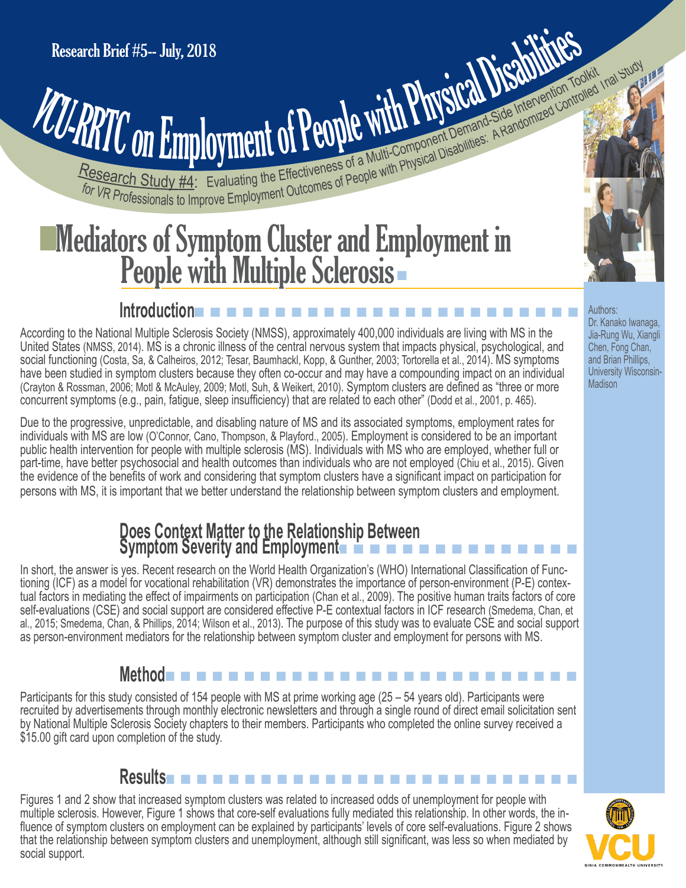# **PRITCON Employment of People with Physical Disabilities: A Randomized Controlled Intervention Toolkid Institute State Intervention Toolkid Institute State Intervention Toolkid Institute State Intervention Toolkid Institut** Research Brief #5-- July, 2018<br>
VCU-RRTC ON Employment of People with Physical Disabilities: A Randomized Control

## **People with Multiple Sclerosis** Mediators of Symptom Cluster and Employment in

#### n n n n n n n n n n n n n n n n n n n n n n n n **Introduction**

According to the National Multiple Sclerosis Society (NMSS), approximately 400,000 individuals are living with MS in the United States (NMSS, 2014). MS is a chronic illness of the central nervous system that impacts physical, psychological, and social functioning (Costa, Sa, & Calheiros, 2012; Tesar, Baumhackl, Kopp, & Gunther, 2003; Tortorella et al., 2014). MS symptoms have been studied in symptom clusters because they often co-occur and may have a compounding impact on an individual (Crayton & Rossman, 2006; Motl & McAuley, 2009; Motl, Suh, & Weikert, 2010). Symptom clusters are defined as "three or more concurrent symptoms (e.g., pain, fatigue, sleep insufficiency) that are related to each other" (Dodd et al., 2001, p. 465).

Due to the progressive, unpredictable, and disabling nature of MS and its associated symptoms, employment rates for individuals with MS are low (O'Connor, Cano, Thompson, & Playford., 2005). Employment is considered to be an important public health intervention for people with multiple sclerosis (MS). Individuals with MS who are employed, whether full or part-time, have better psychosocial and health outcomes than individuals who are not employed (Chiu et al., 2015). Given the evidence of the benefits of work and considering that symptom clusters have a significant impact on participation for persons with MS, it is important that we better understand the relationship between symptom clusters and employment.

#### n n n n n n n n n n n n n n n n **Does Context Matter to the Relationship Between Symptom Severity and Employment**

In short, the answer is yes. Recent research on the World Health Organization's (WHO) International Classification of Func tioning (ICF) as a model for vocational rehabilitation (VR) demonstrates the importance of person-environment (P-E) contex tual factors in mediating the effect of impairments on participation (Chan et al., 2009). The positive human traits factors of core self-evaluations (CSE) and social support are considered effective P-E contextual factors in ICF research (Smedema, Chan, et al., 2015; Smedema, Chan, & Phillips, 2014; Wilson et al., 2013). The purpose of this study was to evaluate CSE and social support as person-environment mediators for the relationship between symptom cluster and employment for persons with MS.

### n n n n n n n n n n n n n n n n n n n n n n n n n n **Method**

Participants for this study consisted of 154 people with MS at prime working age (25 – 54 years old). Participants were recruited by advertisements through monthly electronic newsletters and through a single round of direct email solicitation sent by National Multiple Sclerosis Society chapters to their members. Participants who completed the online survey received a \$15.00 gift card upon completion of the study.

## **Results** n n n n n n n n n n n n n n n n n n n n n n n n n n n n n n n

Figures 1 and 2 show that increased symptom clusters was related to increased odds of unemployment for people with multiple sclerosis. However, Figure 1 shows that core-self evaluations fully mediated this relationship. In other words, the in fluence of symptom clusters on employment can be explained by participants' levels of core self-evaluations. Figure 2 shows that the relationship between symptom clusters and unemployment, although still significant, was less so when mediated by social support.



Authors: Dr. Kanako Iwanaga, Jia-Rung Wu, Xiangli Chen, Fong Chan, and Brian Phillips, University Wisconsin-**Madison**